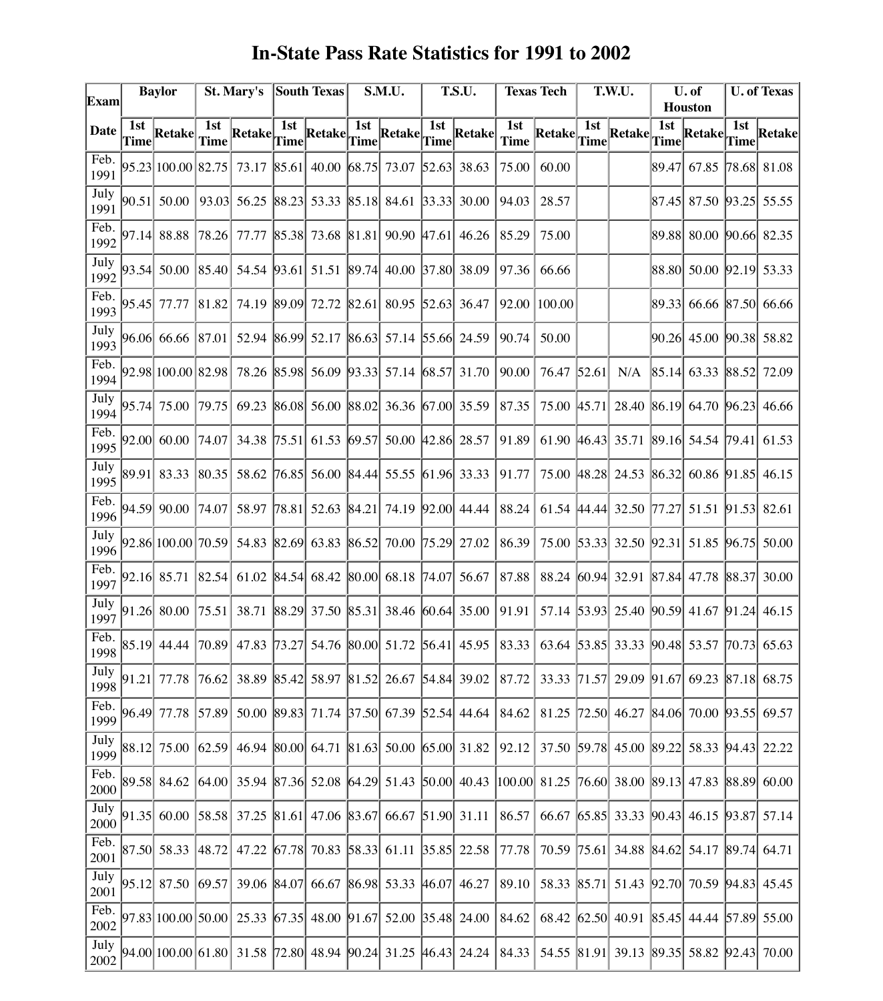| <b>In-State Pass Rate Statistics for 1991 to 2002</b> |
|-------------------------------------------------------|
|-------------------------------------------------------|

| Exam         | <b>Baylor</b> |                    | St. Mary's  |                                                                        | <b>South Texas</b> |                                           | S.M.U. |                               | T.S.U.      |                                                                                            | <b>Texas Tech</b>  |                   | T.W.U.             |                               | U. of<br><b>Houston</b> |                                           | <b>U. of Texas</b> |                      |
|--------------|---------------|--------------------|-------------|------------------------------------------------------------------------|--------------------|-------------------------------------------|--------|-------------------------------|-------------|--------------------------------------------------------------------------------------------|--------------------|-------------------|--------------------|-------------------------------|-------------------------|-------------------------------------------|--------------------|----------------------|
| Date         | 1st<br>Time   | Retake             | 1st<br>Time | $\begin{array}{ l }\n\hline\n\text{Retake} & \text{Time}\n\end{array}$ | 1st                | $\left \text{Retake}\right $ Time         | 1st    | Retakel                       | 1st<br>Time | Retake                                                                                     | 1st<br><b>Time</b> | Retake            | 1st<br><b>Time</b> | Retake                        | 1st<br>Time             | Retake                                    | 1st<br>Time        | Retake               |
| Feb.<br>1991 |               | 95.23 100.00 82.75 |             | 73.17                                                                  | 85.61              | 40.00 68.75 73.07                         |        |                               |             | 52.63 38.63                                                                                | 75.00              | 60.00             |                    |                               |                         | 89.47 67.85 78.68 81.08                   |                    |                      |
| July<br>1991 |               | 90.51 50.00        | 93.03       | 56.25                                                                  | 88.23              |                                           |        | 53.33 85.18 84.61 33.33 30.00 |             |                                                                                            | 94.03              | 28.57             |                    |                               |                         | 87.45 87.50 93.25 55.55                   |                    |                      |
| Feb.<br>1992 |               | 97.14 88.88        | 78.26       | 77.77                                                                  | 85.38              |                                           |        | 73.68 81.81 90.90 47.61       |             | 46.26                                                                                      | 85.29              | 75.00             |                    |                               |                         | 89.88 80.00 90.66 82.35                   |                    |                      |
| July<br>1992 |               | 93.54 50.00        | 85.40       | 54.54                                                                  | 93.61              |                                           |        | 51.51 89.74 40.00 37.80 38.09 |             |                                                                                            | 97.36              | 66.66             |                    |                               |                         | 88.80 50.00 92.19 53.33                   |                    |                      |
| Feb.<br>1993 |               | 95.45 77.77        | 81.82       | 74.19                                                                  | 89.09              | 72.72                                     |        | 82.61 80.95 52.63 36.47       |             |                                                                                            | 92.00              | 100.00            |                    |                               |                         | 89.33 66.66 87.50 66.66                   |                    |                      |
| July<br>1993 |               | 96.06 66.66 87.01  |             | 52.94                                                                  |                    | 86.99 52.17 86.63 57.14 55.66 24.59       |        |                               |             |                                                                                            | 90.74              | 50.00             |                    |                               |                         | 90.26 45.00 90.38 58.82                   |                    |                      |
| Feb.<br>1994 |               | 92.98 100.00 82.98 |             | 78.26                                                                  |                    | 85.98 56.09 93.33 57.14                   |        |                               |             | 68.57 31.70                                                                                | 90.00              | 76.47             | 52.61              | N/A                           |                         | 85.14 63.33 88.52                         |                    | 72.09                |
| July<br>1994 |               | 95.74 75.00        | 79.75       | 69.23                                                                  | 86.08              |                                           |        | 56.00 88.02 36.36 67.00 35.59 |             |                                                                                            | 87.35              | 75.00 [45.71]     |                    | 28.40                         |                         | 86.19  64.70   96.23                      |                    | 46.66                |
| Feb.<br>1995 | 92.00         | 60.00              | 74.07       | 34.38                                                                  | 75.51              | 61.53                                     | 69.57  | 50.00 42.86 28.57             |             |                                                                                            | 91.89              | 61.90 46.43 35.71 |                    |                               |                         | 89.16 54.54                               | 179.41             | 61.53                |
| July<br>1995 | 89.91         | 83.33              | 80.35       | 58.62                                                                  | 76.85              |                                           |        | 56.00 84.44 55.55             |             | $ 61.96 $ 33.33                                                                            | 91.77              |                   |                    | 75.00 48.28 24.53             |                         | 86.32  60.86  91.85                       |                    | 46.15                |
| Feb.<br>1996 |               | 94.59 90.00        | 74.07       | 58.97                                                                  | 78.81              | 52.63                                     | 84.21  | 74.19                         |             | $ 92.00 $ 44.44                                                                            | 88.24              | 61.54 44.44 32.50 |                    |                               | 17.27                   | 51.51 91.53 82.61                         |                    |                      |
| July<br>1996 |               | 92.86 100.00 70.59 |             | 54.83                                                                  | 82.69              | 63.83 86.52                               |        | 70.00                         |             | $ 75.29 $ 27.02                                                                            | 86.39              |                   |                    | 75.00 53.33 32.50             |                         | $ 92.31 $ 51.85 $ 96.75 $                 |                    | 50.00                |
| Feb.<br>1997 |               | 92.16 85.71        | 82.54       | 61.02                                                                  | 84.54              | 68.42 80.00 68.18                         |        |                               | 74.07       | 56.67                                                                                      | 87.88              | 88.24 60.94 32.91 |                    |                               |                         | $ 87.84 $ 47.78                           | 88.37              | 30.00                |
| July<br>1997 |               | 91.26 80.00        | 75.51       | 38.71                                                                  |                    | 88.29 37.50 85.31 38.46 60.64 35.00       |        |                               |             |                                                                                            | 91.91              |                   |                    |                               |                         | 57.14 53.93 25.40 90.59 41.67 91.24 46.15 |                    |                      |
| Feb.<br>1998 | 85.19         | 44.44              | 70.89       | 47.83                                                                  | 73.27              |                                           |        | 54.76 80.00 51.72 56.41 45.95 |             |                                                                                            | 83.33              |                   |                    | 63.64 53.85 33.33 90.48 53.57 |                         |                                           |                    | $\sqrt{70.73}$ 65.63 |
| July<br>1998 |               | 91.21 77.78        | 76.621      | 38.89                                                                  |                    | 85.42 58.97 81.52 26.67 54.84 39.02       |        |                               |             |                                                                                            | 87.72              |                   |                    |                               |                         | 33.33 71.57 29.09 91.67 69.23 87.18 68.75 |                    |                      |
| Feb.<br>1999 |               | 96.49 77.78        | 57.89       |                                                                        |                    |                                           |        |                               |             | 50.00 89.83 71.74 37.50 67.39 52.54 44.64 84.62                                            |                    |                   |                    |                               |                         | 81.25 72.50 46.27 84.06 70.00 93.55 69.57 |                    |                      |
| July<br>1999 |               | 88.12 75.00 62.59  |             |                                                                        |                    |                                           |        |                               |             | 46.94 80.00 64.71 81.63 50.00 65.00 31.82 92.12                                            |                    |                   |                    |                               |                         | 37.50 59.78 45.00 89.22 58.33 94.43 22.22 |                    |                      |
| Feb.<br>2000 |               | 89.58 84.62        | 64.00       |                                                                        |                    |                                           |        |                               |             | 35.94 87.36 52.08 64.29 51.43 50.00 40.43 100.00 81.25 76.60 38.00 89.13 47.83 88.89 60.00 |                    |                   |                    |                               |                         |                                           |                    |                      |
| July<br>2000 | 91.35         | 60.00 58.58        |             |                                                                        |                    | 37.25 81.61 47.06 83.67 66.67 51.90 31.11 |        |                               |             |                                                                                            | 86.57              |                   |                    |                               |                         | 66.67 65.85 33.33 90.43 46.15 93.87 57.14 |                    |                      |
| Feb.<br>2001 |               | 87.50 58.33        | 48.72       | 47.22                                                                  | 67.78              |                                           |        | 70.83 58.33 61.11 35.85 22.58 |             |                                                                                            | 77.78              |                   |                    |                               |                         | 70.59 75.61 34.88 84.62 54.17 89.74 64.71 |                    |                      |
| July<br>2001 | 95.12         | 87.50              | 69.57       | 39.06 84.07                                                            |                    |                                           |        | 66.67 86.98 53.33 46.07 46.27 |             |                                                                                            | 89.10              |                   |                    |                               |                         | 58.33 85.71 51.43 92.70 70.59 94.83 45.45 |                    |                      |
| Feb.<br>2002 |               | 97.83 100.00 50.00 |             | 25.33                                                                  |                    |                                           |        |                               |             | $\left  67.35 \right $ 48.00 $\left  91.67 \right $ 52.00 35.48 24.00                      | 84.62              |                   |                    |                               |                         | 68.42 62.50 40.91 85.45 44.44 57.89 55.00 |                    |                      |
| July<br>2002 |               |                    |             | 94.00  100.00  61.80  31.58  72.80  48.94  90.24  31.25  46.43  24.24  |                    |                                           |        |                               |             |                                                                                            | 84.33              |                   |                    |                               |                         | 54.55 81.91 39.13 89.35 58.82 92.43       |                    | 70.00                |